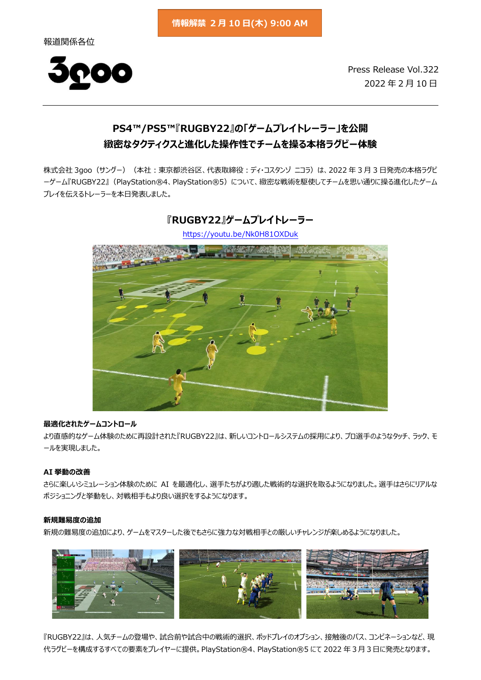報道関係各位



Press Release Vol.322 2022 年 2 月 10 日

# **PS4™/PS5™『RUGBY22』の「ゲームプレイトレーラー」を公開 緻密なタクティクスと進化した操作性でチームを操る本格ラグビー体験**

株式会社 3goo (サングー) (本社: 東京都渋谷区、代表取締役:ディ・コスタンゾ ニコラ)は、2022 年 3 月 3 日発売の本格ラグビ ーゲーム『RUGBY22』(PlayStation®4、PlayStation®5)について、緻密な戦術を駆使してチームを思い通りに操る進化したゲーム プレイを伝えるトレーラーを本日発表しました。



**『RUGBY22』ゲームプレイトレーラー** <https://youtu.be/Nk0H81OXDuk>

# **最適化されたゲームコントロール**

より直感的なゲーム体験のために再設計された『RUGBY22』は、新しいコントロールシステムの採用により、プロ選手のようなタッチ、ラック、モ ールを実現しました。

### **AI 挙動の改善**

さらに楽しいシミュレーション体験のために AI を最適化し、選手たちがより適した戦術的な選択を取るようになりました。選手はさらにリアルな ポジショニングと挙動をし、対戦相手もより良い選択をするようになります。

#### **新規難易度の追加**

新規の難易度の追加により、ゲームをマスターした後でもさらに強力な対戦相手との厳しいチャレンジが楽しめるようになりました。



『RUGBY22』は、人気チームの登場や、試合前や試合中の戦術的選択、ポッドプレイのオプション、接触後のパス、コンビネーションなど、現 代ラグビーを構成するすべての要素をプレイヤーに提供。PlayStation®4、PlayStation®5 にて 2022 年3月3日に発売となります。